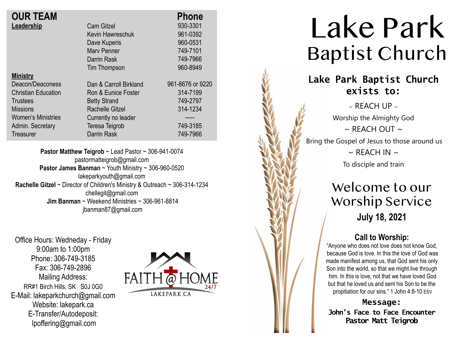| <b>OUR TEAM</b>            |                        | <b>Phone</b>     |
|----------------------------|------------------------|------------------|
| Leadership                 | <b>Cam Gitzel</b>      | 930-3301         |
|                            | Kevin Hawreschuk       | 961-0392         |
|                            | Dave Kuperis           | 960-0531         |
|                            | Mary Penner            | 749-7101         |
|                            | Darrin Rask            | 749-7966         |
|                            | Tim Thompson           | 960-8949         |
| <b>Ministry</b>            |                        |                  |
| Deacon/Deaconess           | Dan & Carroll Birkland | 961-8676 or 9220 |
| <b>Christian Education</b> | Ron & Eunice Foster    | 314-7199         |
| <b>Trustees</b>            | <b>Betty Strand</b>    | 749-2797         |
| <b>Missions</b>            | <b>Rachelle Gitzel</b> | 314-1234         |
| <b>Women's Ministries</b>  | Currently no leader    |                  |
| Admin. Secretary           | Teresa Teigrob         | 749-3185         |
| Treasurer                  | <b>Darrin Rask</b>     | 749-7966         |

**Pastor Matthew Teigrob** ~ Lead Pastor ~ 306-941-0074 pastormatteigrob@gmail.com **Pastor James Banman** ~ Youth Ministry ~ 306-960-0520 lakeparkyouth@gmail.com **Rachelle Gitzel** ~ Director of Children's Ministry & Outreach ~ 306-314-1234 chellegit@gmail.com  **Jim Banman** ~ Weekend Ministries ~ 306-961-8814 jbanman87@gmail.com

Office Hours: Wedneday - Friday 9:00am to 1:00pm Phone: 306-749-3185 Fax: 306-749-2896 Mailing Address: RR#1 Birch Hills, SK S0J 0G0 E-Mail: lakeparkchurch@gmail.com Website: lakepark.ca E-Transfer/Autodeposit: lpoffering@gmail.com



# Lake Park Baptist Church

### **Lake Park Baptist Church exists to:**

 $\sim$  REACH UP  $\sim$ Worship the Almighty God  $\sim$  RFACH OUT  $\sim$ Bring the Gospel of Jesus to those around us  $\sim$  REACH IN  $\sim$ To disciple and train

> Welcome to our Worship Service **July 18, 2021**

### **Call to Worship:**

"Anyone who does not love does not know God, because God is love. In this the love of God was made manifest among us, that God sent his only Son into the world, so that we might live through him. In this is love, not that we have loved God but that he loved us and sent his Son to be the propitiation for our sins." 1 John 4:8-10 ESV

**Message: John's Face to Face Encounter Pastor Matt Teigrob**